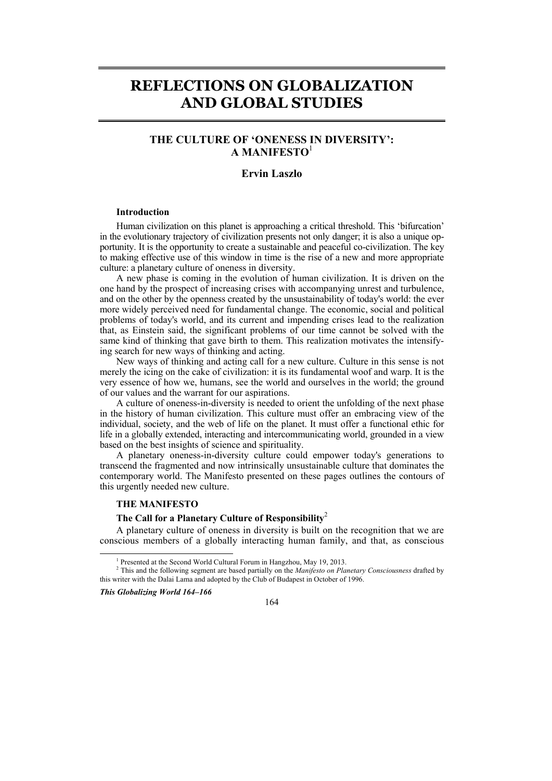# **REFLECTIONS ON GLOBALIZATION AND GLOBAL STUDIES**

## **THE CULTURE OF 'ONENESS IN DIVERSITY': A MANIFESTO**<sup>1</sup>

## **Ervin Laszlo**

#### **Introduction**

Human civilization on this planet is approaching a critical threshold. This 'bifurcation' in the evolutionary trajectory of civilization presents not only danger; it is also a unique opportunity. It is the opportunity to create a sustainable and peaceful co-civilization. The key to making effective use of this window in time is the rise of a new and more appropriate culture: a planetary culture of oneness in diversity.

A new phase is coming in the evolution of human civilization. It is driven on the one hand by the prospect of increasing crises with accompanying unrest and turbulence, and on the other by the openness created by the unsustainability of today's world: the ever more widely perceived need for fundamental change. The economic, social and political problems of today's world, and its current and impending crises lead to the realization that, as Einstein said, the significant problems of our time cannot be solved with the same kind of thinking that gave birth to them. This realization motivates the intensifying search for new ways of thinking and acting.

New ways of thinking and acting call for a new culture. Culture in this sense is not merely the icing on the cake of civilization: it is its fundamental woof and warp. It is the very essence of how we, humans, see the world and ourselves in the world; the ground of our values and the warrant for our aspirations.

A culture of oneness-in-diversity is needed to orient the unfolding of the next phase in the history of human civilization. This culture must offer an embracing view of the individual, society, and the web of life on the planet. It must offer a functional ethic for life in a globally extended, interacting and intercommunicating world, grounded in a view based on the best insights of science and spirituality.

A planetary oneness-in-diversity culture could empower today's generations to transcend the fragmented and now intrinsically unsustainable culture that dominates the contemporary world. The Manifesto presented on these pages outlines the contours of this urgently needed new culture.

### **THE MANIFESTO**

#### **The Call for a Planetary Culture of Responsibility**<sup>2</sup>

A planetary culture of oneness in diversity is built on the recognition that we are conscious members of a globally interacting human family, and that, as conscious

*This Globalizing World 164–166* 

 $\frac{1}{1}$ 



<sup>&</sup>lt;sup>1</sup> Presented at the Second World Cultural Forum in Hangzhou, May 19, 2013.

<sup>2</sup> This and the following segment are based partially on the *Manifesto on Planetary Consciousness* drafted by this writer with the Dalai Lama and adopted by the Club of Budapest in October of 1996.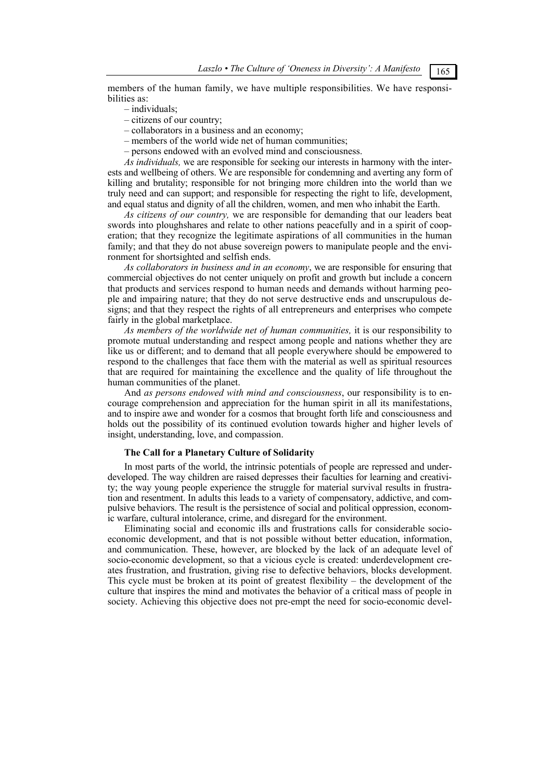members of the human family, we have multiple responsibilities. We have responsibilities as:

- individuals;
- citizens of our country;
- collaborators in a business and an economy;
- members of the world wide net of human communities;
- persons endowed with an evolved mind and consciousness.

*As individuals,* we are responsible for seeking our interests in harmony with the interests and wellbeing of others. We are responsible for condemning and averting any form of killing and brutality; responsible for not bringing more children into the world than we truly need and can support; and responsible for respecting the right to life, development, and equal status and dignity of all the children, women, and men who inhabit the Earth.

*As citizens of our country,* we are responsible for demanding that our leaders beat swords into ploughshares and relate to other nations peacefully and in a spirit of cooperation; that they recognize the legitimate aspirations of all communities in the human family; and that they do not abuse sovereign powers to manipulate people and the environment for shortsighted and selfish ends.

*As collaborators in business and in an economy*, we are responsible for ensuring that commercial objectives do not center uniquely on profit and growth but include a concern that products and services respond to human needs and demands without harming people and impairing nature; that they do not serve destructive ends and unscrupulous designs; and that they respect the rights of all entrepreneurs and enterprises who compete fairly in the global marketplace.

*As members of the worldwide net of human communities,* it is our responsibility to promote mutual understanding and respect among people and nations whether they are like us or different; and to demand that all people everywhere should be empowered to respond to the challenges that face them with the material as well as spiritual resources that are required for maintaining the excellence and the quality of life throughout the human communities of the planet.

And *as persons endowed with mind and consciousness*, our responsibility is to encourage comprehension and appreciation for the human spirit in all its manifestations, and to inspire awe and wonder for a cosmos that brought forth life and consciousness and holds out the possibility of its continued evolution towards higher and higher levels of insight, understanding, love, and compassion.

#### **The Call for a Planetary Culture of Solidarity**

In most parts of the world, the intrinsic potentials of people are repressed and underdeveloped. The way children are raised depresses their faculties for learning and creativity; the way young people experience the struggle for material survival results in frustration and resentment. In adults this leads to a variety of compensatory, addictive, and compulsive behaviors. The result is the persistence of social and political oppression, economic warfare, cultural intolerance, crime, and disregard for the environment.

Eliminating social and economic ills and frustrations calls for considerable socioeconomic development, and that is not possible without better education, information, and communication. These, however, are blocked by the lack of an adequate level of socio-economic development, so that a vicious cycle is created: underdevelopment creates frustration, and frustration, giving rise to defective behaviors, blocks development. This cycle must be broken at its point of greatest flexibility – the development of the culture that inspires the mind and motivates the behavior of a critical mass of people in society. Achieving this objective does not pre-empt the need for socio-economic devel-